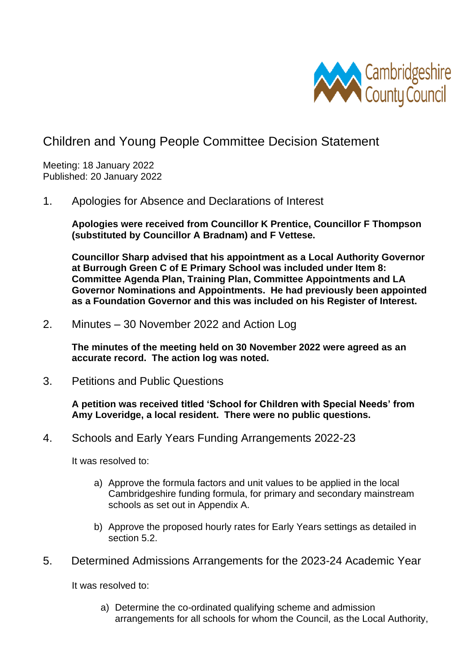

Children and Young People Committee Decision Statement

Meeting: 18 January 2022 Published: 20 January 2022

1. Apologies for Absence and Declarations of Interest

**Apologies were received from Councillor K Prentice, Councillor F Thompson (substituted by Councillor A Bradnam) and F Vettese.** 

**Councillor Sharp advised that his appointment as a Local Authority Governor at Burrough Green C of E Primary School was included under Item 8: Committee Agenda Plan, Training Plan, Committee Appointments and LA Governor Nominations and Appointments. He had previously been appointed as a Foundation Governor and this was included on his Register of Interest.** 

2. Minutes – 30 November 2022 and Action Log

**The minutes of the meeting held on 30 November 2022 were agreed as an accurate record. The action log was noted.**

3. Petitions and Public Questions

**A petition was received titled 'School for Children with Special Needs' from Amy Loveridge, a local resident. There were no public questions.** 

4. Schools and Early Years Funding Arrangements 2022-23

It was resolved to:

- a) Approve the formula factors and unit values to be applied in the local Cambridgeshire funding formula, for primary and secondary mainstream schools as set out in Appendix A.
- b) Approve the proposed hourly rates for Early Years settings as detailed in section 5.2.
- 5. Determined Admissions Arrangements for the 2023-24 Academic Year

It was resolved to:

a) Determine the co-ordinated qualifying scheme and admission arrangements for all schools for whom the Council, as the Local Authority,